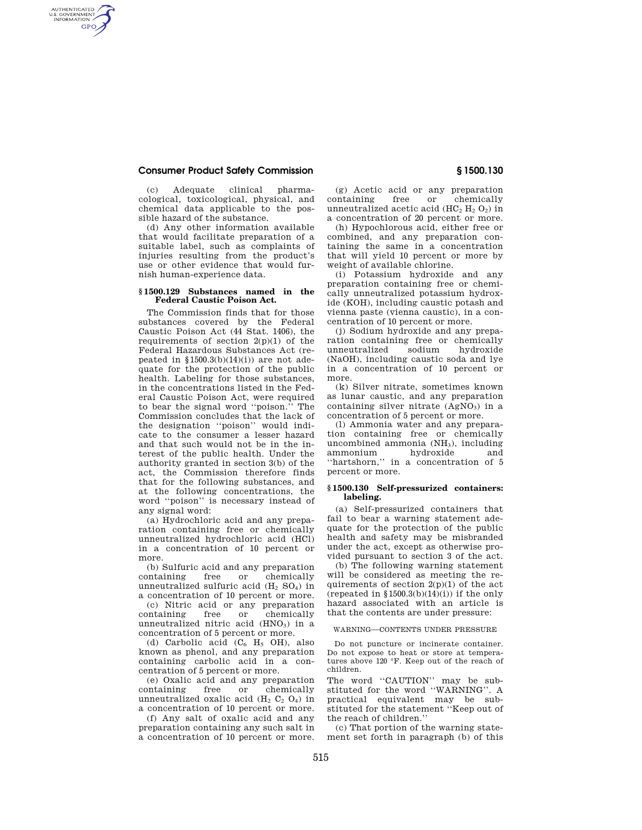## **Consumer Product Safety Commission § 1500.130**

AUTHENTICATED<br>U.S. GOVERNMENT<br>INFORMATION **GPO** 

> (c) Adequate clinical pharmacological, toxicological, physical, and chemical data applicable to the possible hazard of the substance.

> (d) Any other information available that would facilitate preparation of a suitable label, such as complaints of injuries resulting from the product's use or other evidence that would furnish human-experience data.

#### **§ 1500.129 Substances named in the Federal Caustic Poison Act.**

The Commission finds that for those substances covered by the Federal Caustic Poison Act (44 Stat. 1406), the requirements of section  $2(p)(1)$  of the Federal Hazardous Substances Act (repeated in  $$1500.3(b)(14)(i)$  are not adequate for the protection of the public health. Labeling for those substances, in the concentrations listed in the Federal Caustic Poison Act, were required to bear the signal word ''poison.'' The Commission concludes that the lack of the designation ''poison'' would indicate to the consumer a lesser hazard and that such would not be in the interest of the public health. Under the authority granted in section 3(b) of the act, the Commission therefore finds that for the following substances, and at the following concentrations, the word ''poison'' is necessary instead of any signal word:

(a) Hydrochloric acid and any preparation containing free or chemically unneutralized hydrochloric acid (HCl) in a concentration of 10 percent or more.

(b) Sulfuric acid and any preparation<br>
ontaining tree or chemically containing free or unneutralized sulfuric acid  $(H_2$  SO<sub>4</sub>) in a concentration of 10 percent or more.

(c) Nitric acid or any preparation containing free or chemically unneutralized nitric acid  $(HNO<sub>3</sub>)$  in a concentration of 5 percent or more.

(d) Carbolic acid  $(C_6$  H<sub>5</sub> OH), also known as phenol, and any preparation containing carbolic acid in a concentration of 5 percent or more.

(e) Oxalic acid and any preparation containing free or unneutralized oxalic acid (H<sub>2</sub> C<sub>2</sub> O<sub>4</sub>) in a concentration of 10 percent or more.

(f) Any salt of oxalic acid and any preparation containing any such salt in a concentration of 10 percent or more.

(g) Acetic acid or any preparation containing free or chemically unneutralized acetic acid  $(HC_2 H_2 O_2)$  in a concentration of 20 percent or more.

(h) Hypochlorous acid, either free or combined, and any preparation containing the same in a concentration that will yield 10 percent or more by weight of available chlorine.

(i) Potassium hydroxide and any preparation containing free or chemically unneutralized potassium hydroxide (KOH), including caustic potash and vienna paste (vienna caustic), in a concentration of 10 percent or more.

(j) Sodium hydroxide and any preparation containing free or chemically unneutralized sodium hydroxide (NaOH), including caustic soda and lye in a concentration of 10 percent or more.

(k) Silver nitrate, sometimes known as lunar caustic, and any preparation containing silver nitrate  $(AgNO<sub>3</sub>)$  in a concentration of 5 percent or more.

(l) Ammonia water and any preparation containing free or chemically uncombined ammonia (NH<sub>3</sub>), including<br>ammonium hydroxide and ammonium ''hartshorn,'' in a concentration of 5 percent or more.

## **§ 1500.130 Self-pressurized containers: labeling.**

(a) Self-pressurized containers that fail to bear a warning statement adequate for the protection of the public health and safety may be misbranded under the act, except as otherwise provided pursuant to section 3 of the act.

(b) The following warning statement will be considered as meeting the requirements of section  $2(p)(1)$  of the act (repeated in  $$1500.3(b)(14)(i)$ ) if the only hazard associated with an article is that the contents are under pressure:

# WARNING—CONTENTS UNDER PRESSURE

Do not puncture or incinerate container. Do not expose to heat or store at temperatures above 120 °F. Keep out of the reach of children.

The word "CAUTION" may be substituted for the word ''WARNING''. A practical equivalent may be substituted for the statement "Keep out of the reach of children.''

(c) That portion of the warning statement set forth in paragraph (b) of this